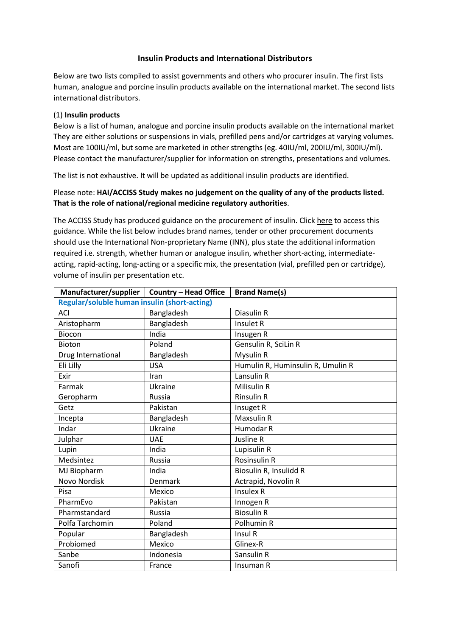## **Insulin Products and International Distributors**

Below are two lists compiled to assist governments and others who procurer insulin. The first lists human, analogue and porcine insulin products available on the international market. The second lists international distributors.

### (1) **Insulin products**

Below is a list of human, analogue and porcine insulin products available on the international market They are either solutions or suspensions in vials, prefilled pens and/or cartridges at varying volumes. Most are 100IU/ml, but some are marketed in other strengths (eg. 40IU/ml, 200IU/ml, 300IU/ml). Please contact the manufacturer/supplier for information on strengths, presentations and volumes.

The list is not exhaustive. It will be updated as additional insulin products are identified.

# Please note: **HAI/ACCISS Study makes no judgement on the quality of any of the products listed. That is the role of national/regional medicine regulatory authorities**.

The ACCISS Study has produced guidance on the procurement of insulin. Click here to access this guidance. While the list below includes brand names, tender or other procurement documents should use the International Non-proprietary Name (INN), plus state the additional information required i.e. strength, whether human or analogue insulin, whether short-acting, intermediateacting, rapid-acting, long-acting or a specific mix, the presentation (vial, prefilled pen or cartridge), volume of insulin per presentation etc.

| Manufacturer/supplier                        | <b>Country - Head Office</b> | <b>Brand Name(s)</b>              |
|----------------------------------------------|------------------------------|-----------------------------------|
| Regular/soluble human insulin (short-acting) |                              |                                   |
| <b>ACI</b>                                   | Bangladesh                   | Diasulin R                        |
| Aristopharm                                  | Bangladesh                   | Insulet R                         |
| <b>Biocon</b>                                | India                        | Insugen R                         |
| <b>Bioton</b>                                | Poland                       | Gensulin R, SciLin R              |
| Drug International                           | Bangladesh                   | Mysulin R                         |
| Eli Lilly                                    | <b>USA</b>                   | Humulin R, Huminsulin R, Umulin R |
| Exir                                         | Iran                         | Lansulin R                        |
| Farmak                                       | Ukraine                      | Milisulin R                       |
| Geropharm                                    | Russia                       | <b>Rinsulin R</b>                 |
| Getz                                         | Pakistan                     | Insuget R                         |
| Incepta                                      | Bangladesh                   | <b>Maxsulin R</b>                 |
| Indar                                        | Ukraine                      | Humodar R                         |
| Julphar                                      | <b>UAE</b>                   | Jusline R                         |
| Lupin                                        | India                        | Lupisulin R                       |
| Medsintez                                    | Russia                       | <b>Rosinsulin R</b>               |
| MJ Biopharm                                  | India                        | Biosulin R, Insulidd R            |
| <b>Novo Nordisk</b>                          | Denmark                      | Actrapid, Novolin R               |
| Pisa                                         | Mexico                       | <b>Insulex R</b>                  |
| PharmEvo                                     | Pakistan                     | Innogen R                         |
| Pharmstandard                                | Russia                       | <b>Biosulin R</b>                 |
| Polfa Tarchomin                              | Poland                       | Polhumin R                        |
| Popular                                      | Bangladesh                   | Insul R                           |
| Probiomed                                    | Mexico                       | Glinex-R                          |
| Sanbe                                        | Indonesia                    | Sansulin R                        |
| Sanofi                                       | France                       | Insuman R                         |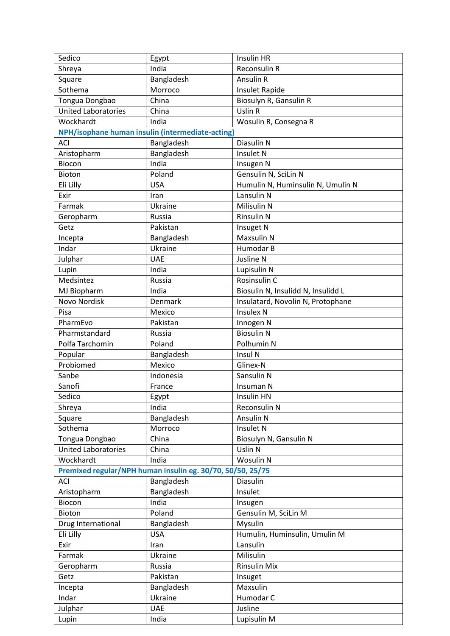| Sedico                     | Egypt                                                      | Insulin HR                         |
|----------------------------|------------------------------------------------------------|------------------------------------|
| Shreya                     | India                                                      | Reconsulin R                       |
| Square                     | Bangladesh                                                 | Ansulin R                          |
| Sothema                    | Morroco                                                    | Insulet Rapide                     |
| Tongua Dongbao             | China                                                      | Biosulyn R, Gansulin R             |
| <b>United Laboratories</b> | China                                                      | Uslin R                            |
| Wockhardt                  | India                                                      | Wosulin R, Consegna R              |
|                            | NPH/isophane human insulin (intermediate-acting)           |                                    |
| <b>ACI</b>                 | Bangladesh                                                 | Diasulin N                         |
| Aristopharm                | Bangladesh                                                 | Insulet N                          |
| Biocon                     | India                                                      | Insugen N                          |
| Bioton                     | Poland                                                     | Gensulin N, SciLin N               |
| Eli Lilly                  | <b>USA</b>                                                 | Humulin N, Huminsulin N, Umulin N  |
| Exir                       | Iran                                                       | Lansulin N                         |
| Farmak                     | Ukraine                                                    | Milisulin N                        |
| Geropharm                  | Russia                                                     | <b>Rinsulin N</b>                  |
| Getz                       | Pakistan                                                   | Insuget N                          |
| Incepta                    | Bangladesh                                                 | Maxsulin N                         |
| Indar                      | Ukraine                                                    | Humodar B                          |
| Julphar                    | <b>UAE</b>                                                 | Jusline N                          |
| Lupin                      | India                                                      | Lupisulin N                        |
| Medsintez                  | Russia                                                     | Rosinsulin C                       |
| MJ Biopharm                | India                                                      | Biosulin N, Insulidd N, Insulidd L |
| Novo Nordisk               | Denmark                                                    | Insulatard, Novolin N, Protophane  |
| Pisa                       | Mexico                                                     | <b>Insulex N</b>                   |
| PharmEvo                   | Pakistan                                                   | Innogen N                          |
| Pharmstandard              | Russia                                                     | <b>Biosulin N</b>                  |
| Polfa Tarchomin            | Poland                                                     | Polhumin N                         |
| Popular                    | Bangladesh                                                 | Insul N                            |
| Probiomed                  | Mexico                                                     | Glinex-N                           |
| Sanbe                      | Indonesia                                                  | Sansulin N                         |
| Sanofi                     | France                                                     | Insuman N                          |
| Sedico                     | Egypt                                                      | <b>Insulin HN</b>                  |
| Shreya                     | India                                                      | Reconsulin N                       |
| Square                     | Bangladesh                                                 | Ansulin N                          |
| Sothema                    | Morroco                                                    | Insulet N                          |
| Tongua Dongbao             | China                                                      | Biosulyn N, Gansulin N             |
| <b>United Laboratories</b> | China                                                      | Uslin N                            |
| Wockhardt                  | India                                                      | Wosulin N                          |
|                            | Premixed regular/NPH human insulin eg. 30/70, 50/50, 25/75 |                                    |
| <b>ACI</b>                 | Bangladesh                                                 | Diasulin                           |
| Aristopharm                | Bangladesh                                                 | Insulet                            |
| Biocon                     | India                                                      | Insugen                            |
| Bioton                     | Poland                                                     | Gensulin M, SciLin M               |
| Drug International         | Bangladesh                                                 | Mysulin                            |
| Eli Lilly                  | <b>USA</b>                                                 | Humulin, Huminsulin, Umulin M      |
| Exir                       | Iran                                                       | Lansulin                           |
| Farmak                     | Ukraine                                                    | Milisulin                          |
| Geropharm                  | Russia                                                     | <b>Rinsulin Mix</b>                |
| Getz                       | Pakistan                                                   | Insuget                            |
| Incepta                    | Bangladesh                                                 | Maxsulin                           |
| Indar                      | Ukraine                                                    | Humodar C                          |
|                            |                                                            |                                    |
| Julphar<br>Lupin           | <b>UAE</b><br>India                                        | Jusline<br>Lupisulin M             |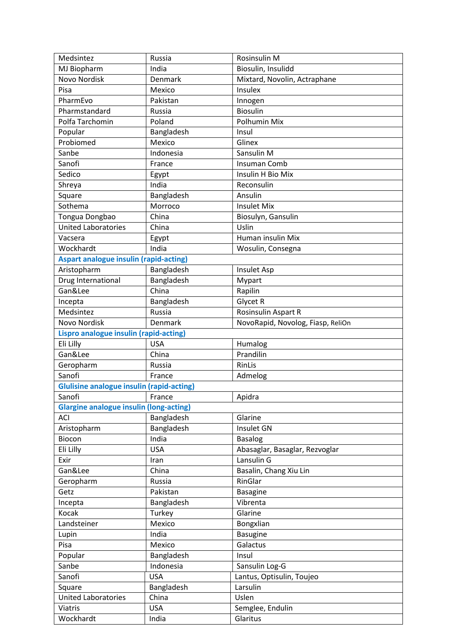| Medsintez                                        | Russia     | Rosinsulin M                      |
|--------------------------------------------------|------------|-----------------------------------|
| MJ Biopharm                                      | India      | Biosulin, Insulidd                |
| Novo Nordisk                                     | Denmark    | Mixtard, Novolin, Actraphane      |
| Pisa                                             | Mexico     | Insulex                           |
| PharmEvo                                         | Pakistan   | Innogen                           |
| Pharmstandard                                    | Russia     | <b>Biosulin</b>                   |
| Polfa Tarchomin                                  | Poland     | Polhumin Mix                      |
| Popular                                          | Bangladesh | Insul                             |
| Probiomed                                        | Mexico     | Glinex                            |
| Sanbe                                            | Indonesia  |                                   |
|                                                  |            | Sansulin M                        |
| Sanofi                                           | France     | Insuman Comb                      |
| Sedico                                           | Egypt      | Insulin H Bio Mix                 |
| Shreya                                           | India      | Reconsulin                        |
| Square                                           | Bangladesh | Ansulin                           |
| Sothema                                          | Morroco    | <b>Insulet Mix</b>                |
| Tongua Dongbao                                   | China      | Biosulyn, Gansulin                |
| <b>United Laboratories</b>                       | China      | Uslin                             |
| Vacsera                                          | Egypt      | Human insulin Mix                 |
| Wockhardt                                        | India      | Wosulin, Consegna                 |
| <b>Aspart analogue insulin (rapid-acting)</b>    |            |                                   |
| Aristopharm                                      | Bangladesh | Insulet Asp                       |
| Drug International                               | Bangladesh | Mypart                            |
| Gan&Lee                                          | China      | Rapilin                           |
| Incepta                                          | Bangladesh | Glycet R                          |
| Medsintez                                        | Russia     | Rosinsulin Aspart R               |
| Novo Nordisk                                     | Denmark    | NovoRapid, Novolog, Fiasp, ReliOn |
| <b>Lispro analogue insulin (rapid-acting)</b>    |            |                                   |
| Eli Lilly                                        | <b>USA</b> | Humalog                           |
| Gan&Lee                                          | China      | Prandilin                         |
| Geropharm                                        | Russia     | RinLis                            |
| Sanofi                                           | France     | Admelog                           |
| <b>Glulisine analogue insulin (rapid-acting)</b> |            |                                   |
| Sanofi                                           | France     | Apidra                            |
| <b>Glargine analogue insulin (long-acting)</b>   |            |                                   |
| <b>ACI</b>                                       |            |                                   |
|                                                  |            |                                   |
|                                                  | Bangladesh | Glarine                           |
| Aristopharm                                      | Bangladesh | Insulet GN                        |
| Biocon                                           | India      | <b>Basalog</b>                    |
| Eli Lilly                                        | <b>USA</b> | Abasaglar, Basaglar, Rezvoglar    |
| Exir                                             | Iran       | Lansulin G                        |
| Gan&Lee                                          | China      | Basalin, Chang Xiu Lin            |
| Geropharm                                        | Russia     | RinGlar                           |
| Getz                                             | Pakistan   | <b>Basagine</b>                   |
| Incepta                                          | Bangladesh | Vibrenta                          |
| Kocak                                            | Turkey     | Glarine                           |
| Landsteiner                                      | Mexico     | Bongxlian                         |
| Lupin                                            | India      | <b>Basugine</b>                   |
| Pisa                                             | Mexico     | Galactus                          |
| Popular                                          | Bangladesh | Insul                             |
| Sanbe                                            | Indonesia  | Sansulin Log-G                    |
| Sanofi                                           | <b>USA</b> | Lantus, Optisulin, Toujeo         |
| Square                                           | Bangladesh | Larsulin                          |
| <b>United Laboratories</b>                       | China      | Uslen                             |
| <b>Viatris</b>                                   | <b>USA</b> | Semglee, Endulin                  |